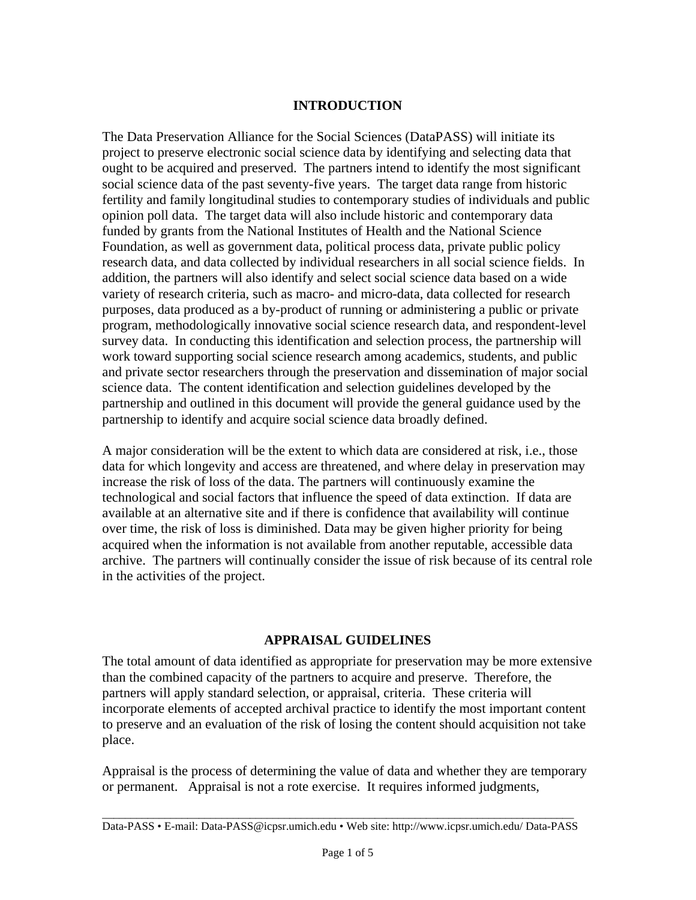#### **INTRODUCTION**

The Data Preservation Alliance for the Social Sciences (DataPASS) will initiate its project to preserve electronic social science data by identifying and selecting data that ought to be acquired and preserved. The partners intend to identify the most significant social science data of the past seventy-five years. The target data range from historic fertility and family longitudinal studies to contemporary studies of individuals and public opinion poll data. The target data will also include historic and contemporary data funded by grants from the National Institutes of Health and the National Science Foundation, as well as government data, political process data, private public policy research data, and data collected by individual researchers in all social science fields. In addition, the partners will also identify and select social science data based on a wide variety of research criteria, such as macro- and micro-data, data collected for research purposes, data produced as a by-product of running or administering a public or private program, methodologically innovative social science research data, and respondent-level survey data. In conducting this identification and selection process, the partnership will work toward supporting social science research among academics, students, and public and private sector researchers through the preservation and dissemination of major social science data. The content identification and selection guidelines developed by the partnership and outlined in this document will provide the general guidance used by the partnership to identify and acquire social science data broadly defined.

A major consideration will be the extent to which data are considered at risk, i.e., those data for which longevity and access are threatened, and where delay in preservation may increase the risk of loss of the data. The partners will continuously examine the technological and social factors that influence the speed of data extinction. If data are available at an alternative site and if there is confidence that availability will continue over time, the risk of loss is diminished. Data may be given higher priority for being acquired when the information is not available from another reputable, accessible data archive. The partners will continually consider the issue of risk because of its central role in the activities of the project.

#### **APPRAISAL GUIDELINES**

The total amount of data identified as appropriate for preservation may be more extensive than the combined capacity of the partners to acquire and preserve. Therefore, the partners will apply standard selection, or appraisal, criteria. These criteria will incorporate elements of accepted archival practice to identify the most important content to preserve and an evaluation of the risk of losing the content should acquisition not take place.

Appraisal is the process of determining the value of data and whether they are temporary or permanent. Appraisal is not a rote exercise. It requires informed judgments,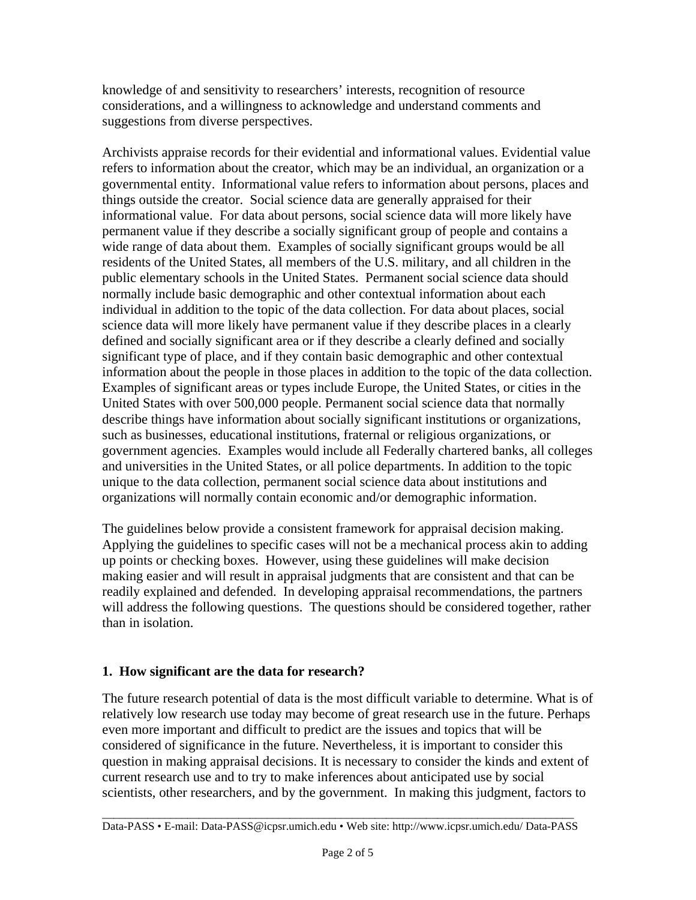knowledge of and sensitivity to researchers' interests, recognition of resource considerations, and a willingness to acknowledge and understand comments and suggestions from diverse perspectives.

Archivists appraise records for their evidential and informational values. Evidential value refers to information about the creator, which may be an individual, an organization or a governmental entity. Informational value refers to information about persons, places and things outside the creator. Social science data are generally appraised for their informational value. For data about persons, social science data will more likely have permanent value if they describe a socially significant group of people and contains a wide range of data about them. Examples of socially significant groups would be all residents of the United States, all members of the U.S. military, and all children in the public elementary schools in the United States. Permanent social science data should normally include basic demographic and other contextual information about each individual in addition to the topic of the data collection. For data about places, social science data will more likely have permanent value if they describe places in a clearly defined and socially significant area or if they describe a clearly defined and socially significant type of place, and if they contain basic demographic and other contextual information about the people in those places in addition to the topic of the data collection. Examples of significant areas or types include Europe, the United States, or cities in the United States with over 500,000 people. Permanent social science data that normally describe things have information about socially significant institutions or organizations, such as businesses, educational institutions, fraternal or religious organizations, or government agencies. Examples would include all Federally chartered banks, all colleges and universities in the United States, or all police departments. In addition to the topic unique to the data collection, permanent social science data about institutions and organizations will normally contain economic and/or demographic information.

The guidelines below provide a consistent framework for appraisal decision making. Applying the guidelines to specific cases will not be a mechanical process akin to adding up points or checking boxes. However, using these guidelines will make decision making easier and will result in appraisal judgments that are consistent and that can be readily explained and defended. In developing appraisal recommendations, the partners will address the following questions. The questions should be considered together, rather than in isolation.

### **1. How significant are the data for research?**

The future research potential of data is the most difficult variable to determine. What is of relatively low research use today may become of great research use in the future. Perhaps even more important and difficult to predict are the issues and topics that will be considered of significance in the future. Nevertheless, it is important to consider this question in making appraisal decisions. It is necessary to consider the kinds and extent of current research use and to try to make inferences about anticipated use by social scientists, other researchers, and by the government. In making this judgment, factors to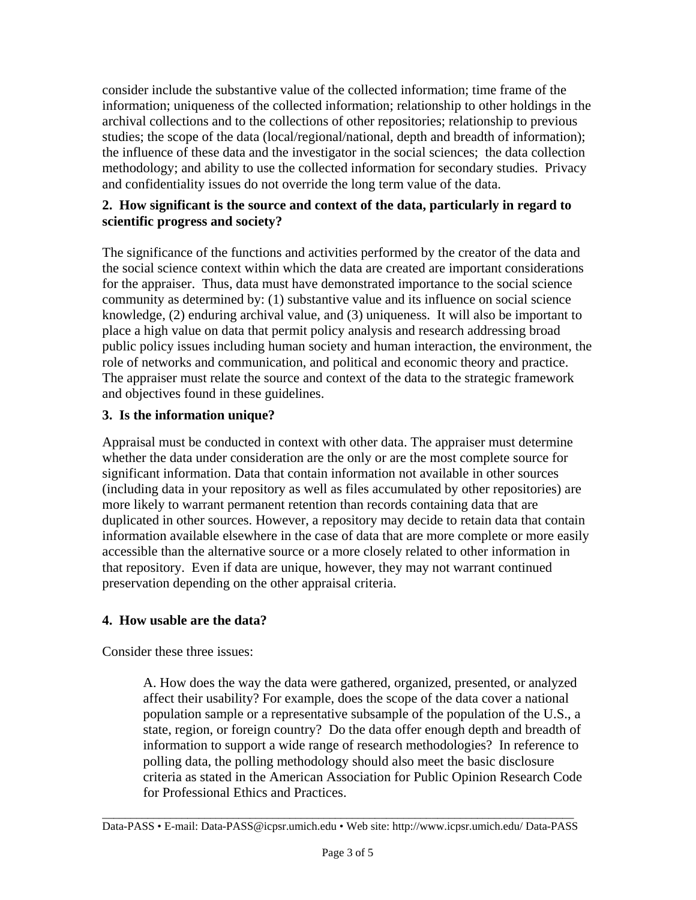consider include the substantive value of the collected information; time frame of the information; uniqueness of the collected information; relationship to other holdings in the archival collections and to the collections of other repositories; relationship to previous studies; the scope of the data (local/regional/national, depth and breadth of information); the influence of these data and the investigator in the social sciences; the data collection methodology; and ability to use the collected information for secondary studies. Privacy and confidentiality issues do not override the long term value of the data.

### **2. How significant is the source and context of the data, particularly in regard to scientific progress and society?**

The significance of the functions and activities performed by the creator of the data and the social science context within which the data are created are important considerations for the appraiser. Thus, data must have demonstrated importance to the social science community as determined by: (1) substantive value and its influence on social science knowledge, (2) enduring archival value, and (3) uniqueness. It will also be important to place a high value on data that permit policy analysis and research addressing broad public policy issues including human society and human interaction, the environment, the role of networks and communication, and political and economic theory and practice. The appraiser must relate the source and context of the data to the strategic framework and objectives found in these guidelines.

## **3. Is the information unique?**

Appraisal must be conducted in context with other data. The appraiser must determine whether the data under consideration are the only or are the most complete source for significant information. Data that contain information not available in other sources (including data in your repository as well as files accumulated by other repositories) are more likely to warrant permanent retention than records containing data that are duplicated in other sources. However, a repository may decide to retain data that contain information available elsewhere in the case of data that are more complete or more easily accessible than the alternative source or a more closely related to other information in that repository. Even if data are unique, however, they may not warrant continued preservation depending on the other appraisal criteria.

# **4. How usable are the data?**

Consider these three issues:

A. How does the way the data were gathered, organized, presented, or analyzed affect their usability? For example, does the scope of the data cover a national population sample or a representative subsample of the population of the U.S., a state, region, or foreign country? Do the data offer enough depth and breadth of information to support a wide range of research methodologies? In reference to polling data, the polling methodology should also meet the basic disclosure criteria as stated in the American Association for Public Opinion Research Code for Professional Ethics and Practices.

\_\_\_\_\_\_\_\_\_\_\_\_\_\_\_\_\_\_\_\_\_\_\_\_\_\_\_\_\_\_\_\_\_\_\_\_\_\_\_\_\_\_\_\_\_\_\_\_\_\_\_\_\_\_\_\_\_\_\_\_\_\_\_\_\_\_\_\_\_\_\_\_\_\_\_\_\_\_\_\_\_\_\_ Data-PASS • E-mail: Data-PASS@icpsr.umich.edu • Web site: http://www.icpsr.umich.edu/ Data-PASS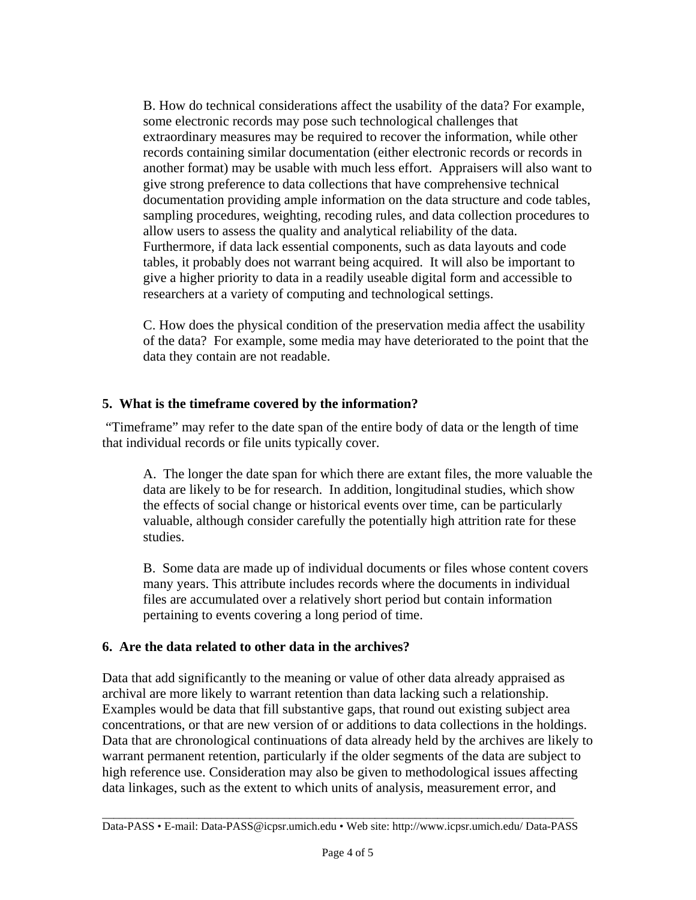B. How do technical considerations affect the usability of the data? For example, some electronic records may pose such technological challenges that extraordinary measures may be required to recover the information, while other records containing similar documentation (either electronic records or records in another format) may be usable with much less effort. Appraisers will also want to give strong preference to data collections that have comprehensive technical documentation providing ample information on the data structure and code tables, sampling procedures, weighting, recoding rules, and data collection procedures to allow users to assess the quality and analytical reliability of the data. Furthermore, if data lack essential components, such as data layouts and code tables, it probably does not warrant being acquired. It will also be important to give a higher priority to data in a readily useable digital form and accessible to researchers at a variety of computing and technological settings.

C. How does the physical condition of the preservation media affect the usability of the data? For example, some media may have deteriorated to the point that the data they contain are not readable.

## **5. What is the timeframe covered by the information?**

 "Timeframe" may refer to the date span of the entire body of data or the length of time that individual records or file units typically cover.

A. The longer the date span for which there are extant files, the more valuable the data are likely to be for research. In addition, longitudinal studies, which show the effects of social change or historical events over time, can be particularly valuable, although consider carefully the potentially high attrition rate for these studies.

B. Some data are made up of individual documents or files whose content covers many years. This attribute includes records where the documents in individual files are accumulated over a relatively short period but contain information pertaining to events covering a long period of time.

### **6. Are the data related to other data in the archives?**

Data that add significantly to the meaning or value of other data already appraised as archival are more likely to warrant retention than data lacking such a relationship. Examples would be data that fill substantive gaps, that round out existing subject area concentrations, or that are new version of or additions to data collections in the holdings. Data that are chronological continuations of data already held by the archives are likely to warrant permanent retention, particularly if the older segments of the data are subject to high reference use. Consideration may also be given to methodological issues affecting data linkages, such as the extent to which units of analysis, measurement error, and